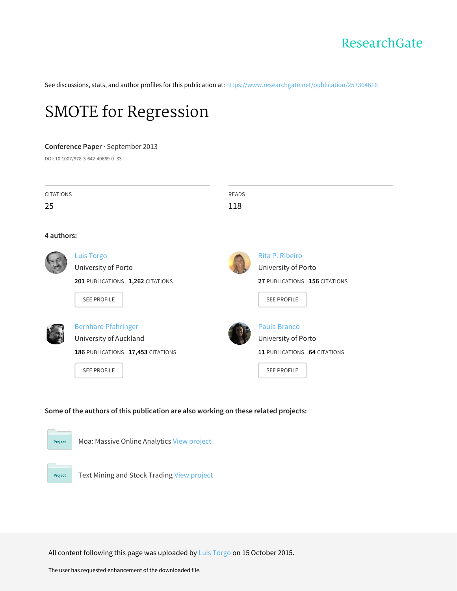

See discussions, stats, and author profiles for this publication at: [https://www.researchgate.net/publication/257364616](https://www.researchgate.net/publication/257364616_SMOTE_for_Regression?enrichId=rgreq-984e06649058d98e2a23343c40fdb4ca-XXX&enrichSource=Y292ZXJQYWdlOzI1NzM2NDYxNjtBUzoyODQ5NDYyMzQxMzQ1MjhAMTQ0NDk0Nzg4NDEwNQ%3D%3D&el=1_x_2&_esc=publicationCoverPdf)

# SMOTE for [Regression](https://www.researchgate.net/publication/257364616_SMOTE_for_Regression?enrichId=rgreq-984e06649058d98e2a23343c40fdb4ca-XXX&enrichSource=Y292ZXJQYWdlOzI1NzM2NDYxNjtBUzoyODQ5NDYyMzQxMzQ1MjhAMTQ0NDk0Nzg4NDEwNQ%3D%3D&el=1_x_3&_esc=publicationCoverPdf)

### **Conference Paper** · September 2013

DOI: 10.1007/978-3-642-40669-0\_33

## **Some of the authors of this publication are also working on these related projects:**



Moa: Massive Online Analytics View [project](https://www.researchgate.net/project/Moa-Massive-Online-Analytics?enrichId=rgreq-984e06649058d98e2a23343c40fdb4ca-XXX&enrichSource=Y292ZXJQYWdlOzI1NzM2NDYxNjtBUzoyODQ5NDYyMzQxMzQ1MjhAMTQ0NDk0Nzg4NDEwNQ%3D%3D&el=1_x_9&_esc=publicationCoverPdf)



Text Mining and Stock Trading View [project](https://www.researchgate.net/project/Text-Mining-and-Stock-Trading?enrichId=rgreq-984e06649058d98e2a23343c40fdb4ca-XXX&enrichSource=Y292ZXJQYWdlOzI1NzM2NDYxNjtBUzoyODQ5NDYyMzQxMzQ1MjhAMTQ0NDk0Nzg4NDEwNQ%3D%3D&el=1_x_9&_esc=publicationCoverPdf)

All content following this page was uploaded by Luís [Torgo](https://www.researchgate.net/profile/Luis_Torgo?enrichId=rgreq-984e06649058d98e2a23343c40fdb4ca-XXX&enrichSource=Y292ZXJQYWdlOzI1NzM2NDYxNjtBUzoyODQ5NDYyMzQxMzQ1MjhAMTQ0NDk0Nzg4NDEwNQ%3D%3D&el=1_x_10&_esc=publicationCoverPdf) on 15 October 2015.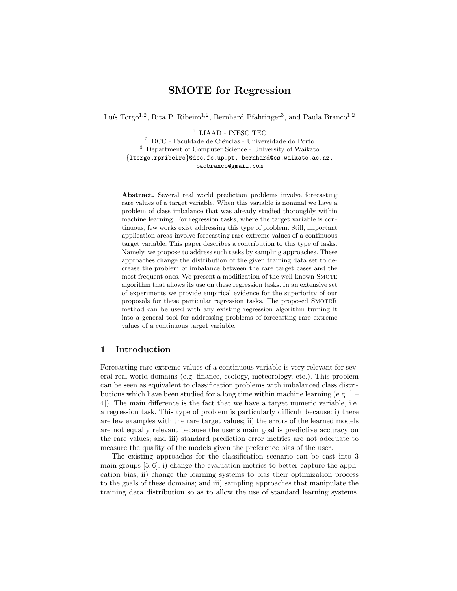## SMOTE for Regression

Luís Torgo<sup>1,2</sup>, Rita P. Ribeiro<sup>1,2</sup>, Bernhard Pfahringer<sup>3</sup>, and Paula Branco<sup>1,2</sup>

 $^1\,$  LIAAD - INESC TEC

 $^2$  DCC - Faculdade de Ciências - Universidade do Porto <sup>3</sup> Department of Computer Science - University of Waikato {ltorgo,rpribeiro}@dcc.fc.up.pt, bernhard@cs.waikato.ac.nz, paobranco@gmail.com

Abstract. Several real world prediction problems involve forecasting rare values of a target variable. When this variable is nominal we have a problem of class imbalance that was already studied thoroughly within machine learning. For regression tasks, where the target variable is continuous, few works exist addressing this type of problem. Still, important application areas involve forecasting rare extreme values of a continuous target variable. This paper describes a contribution to this type of tasks. Namely, we propose to address such tasks by sampling approaches. These approaches change the distribution of the given training data set to decrease the problem of imbalance between the rare target cases and the most frequent ones. We present a modification of the well-known SMOTE algorithm that allows its use on these regression tasks. In an extensive set of experiments we provide empirical evidence for the superiority of our proposals for these particular regression tasks. The proposed SmoteR method can be used with any existing regression algorithm turning it into a general tool for addressing problems of forecasting rare extreme values of a continuous target variable.

## 1 Introduction

Forecasting rare extreme values of a continuous variable is very relevant for several real world domains (e.g. finance, ecology, meteorology, etc.). This problem can be seen as equivalent to classification problems with imbalanced class distributions which have been studied for a long time within machine learning (e.g. [1– 4]). The main difference is the fact that we have a target numeric variable, i.e. a regression task. This type of problem is particularly difficult because: i) there are few examples with the rare target values; ii) the errors of the learned models are not equally relevant because the user's main goal is predictive accuracy on the rare values; and iii) standard prediction error metrics are not adequate to measure the quality of the models given the preference bias of the user.

The existing approaches for the classification scenario can be cast into 3 main groups [5, 6]: i) change the evaluation metrics to better capture the application bias; ii) change the learning systems to bias their optimization process to the goals of these domains; and iii) sampling approaches that manipulate the training data distribution so as to allow the use of standard learning systems.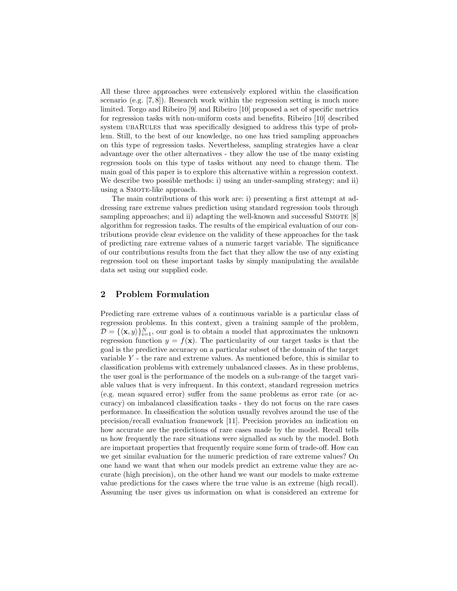All these three approaches were extensively explored within the classification scenario (e.g.  $[7, 8]$ ). Research work within the regression setting is much more limited. Torgo and Ribeiro [9] and Ribeiro [10] proposed a set of specific metrics for regression tasks with non-uniform costs and benefits. Ribeiro [10] described system UBARULES that was specifically designed to address this type of problem. Still, to the best of our knowledge, no one has tried sampling approaches on this type of regression tasks. Nevertheless, sampling strategies have a clear advantage over the other alternatives - they allow the use of the many existing regression tools on this type of tasks without any need to change them. The main goal of this paper is to explore this alternative within a regression context. We describe two possible methods: i) using an under-sampling strategy; and ii) using a SMOTE-like approach.

The main contributions of this work are: i) presenting a first attempt at addressing rare extreme values prediction using standard regression tools through sampling approaches; and ii) adapting the well-known and successful SMOTE [8] algorithm for regression tasks. The results of the empirical evaluation of our contributions provide clear evidence on the validity of these approaches for the task of predicting rare extreme values of a numeric target variable. The significance of our contributions results from the fact that they allow the use of any existing regression tool on these important tasks by simply manipulating the available data set using our supplied code.

## 2 Problem Formulation

Predicting rare extreme values of a continuous variable is a particular class of regression problems. In this context, given a training sample of the problem,  $D = {\mathbf{x}, y}$ , our goal is to obtain a model that approximates the unknown regression function  $y = f(x)$ . The particularity of our target tasks is that the goal is the predictive accuracy on a particular subset of the domain of the target variable Y - the rare and extreme values. As mentioned before, this is similar to classification problems with extremely unbalanced classes. As in these problems, the user goal is the performance of the models on a sub-range of the target variable values that is very infrequent. In this context, standard regression metrics (e.g. mean squared error) suffer from the same problems as error rate (or accuracy) on imbalanced classification tasks - they do not focus on the rare cases performance. In classification the solution usually revolves around the use of the precision/recall evaluation framework [11]. Precision provides an indication on how accurate are the predictions of rare cases made by the model. Recall tells us how frequently the rare situations were signalled as such by the model. Both are important properties that frequently require some form of trade-off. How can we get similar evaluation for the numeric prediction of rare extreme values? On one hand we want that when our models predict an extreme value they are accurate (high precision), on the other hand we want our models to make extreme value predictions for the cases where the true value is an extreme (high recall). Assuming the user gives us information on what is considered an extreme for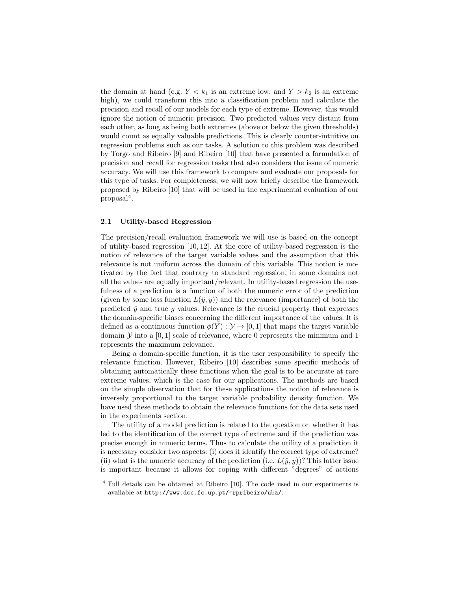the domain at hand (e.g.  $Y < k_1$  is an extreme low, and  $Y > k_2$  is an extreme high), we could transform this into a classification problem and calculate the precision and recall of our models for each type of extreme. However, this would ignore the notion of numeric precision. Two predicted values very distant from each other, as long as being both extremes (above or below the given thresholds) would count as equally valuable predictions. This is clearly counter-intuitive on regression problems such as our tasks. A solution to this problem was described by Torgo and Ribeiro [9] and Ribeiro [10] that have presented a formulation of precision and recall for regression tasks that also considers the issue of numeric accuracy. We will use this framework to compare and evaluate our proposals for this type of tasks. For completeness, we will now briefly describe the framework proposed by Ribeiro [10] that will be used in the experimental evaluation of our proposal<sup>4</sup>.

#### 2.1 Utility-based Regression

The precision/recall evaluation framework we will use is based on the concept of utility-based regression [10, 12]. At the core of utility-based regression is the notion of relevance of the target variable values and the assumption that this relevance is not uniform across the domain of this variable. This notion is motivated by the fact that contrary to standard regression, in some domains not all the values are equally important/relevant. In utility-based regression the usefulness of a prediction is a function of both the numeric error of the prediction (given by some loss function  $L(\hat{y}, y)$ ) and the relevance (importance) of both the predicted  $\hat{y}$  and true y values. Relevance is the crucial property that expresses the domain-specific biases concerning the different importance of the values. It is defined as a continuous function  $\phi(Y): \mathcal{Y} \to [0, 1]$  that maps the target variable domain  $\mathcal Y$  into a [0, 1] scale of relevance, where 0 represents the minimum and 1 represents the maximum relevance.

Being a domain-specific function, it is the user responsibility to specify the relevance function. However, Ribeiro [10] describes some specific methods of obtaining automatically these functions when the goal is to be accurate at rare extreme values, which is the case for our applications. The methods are based on the simple observation that for these applications the notion of relevance is inversely proportional to the target variable probability density function. We have used these methods to obtain the relevance functions for the data sets used in the experiments section.

The utility of a model prediction is related to the question on whether it has led to the identification of the correct type of extreme and if the prediction was precise enough in numeric terms. Thus to calculate the utility of a prediction it is necessary consider two aspects: (i) does it identify the correct type of extreme? (ii) what is the numeric accuracy of the prediction (i.e.  $L(\hat{y}, y)$ )? This latter issue is important because it allows for coping with different "degrees" of actions

<sup>4</sup> Full details can be obtained at Ribeiro [10]. The code used in our experiments is available at http://www.dcc.fc.up.pt/~rpribeiro/uba/.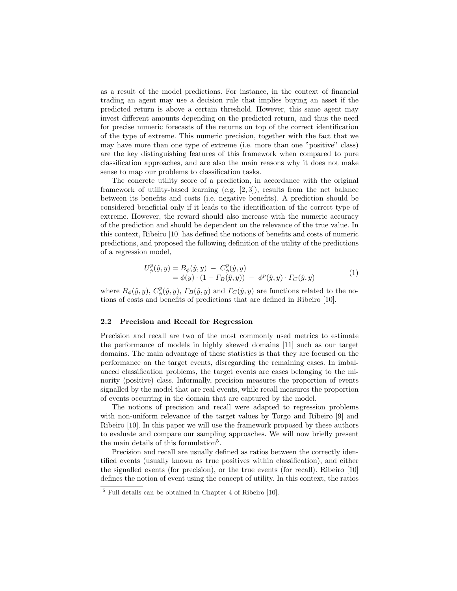as a result of the model predictions. For instance, in the context of financial trading an agent may use a decision rule that implies buying an asset if the predicted return is above a certain threshold. However, this same agent may invest different amounts depending on the predicted return, and thus the need for precise numeric forecasts of the returns on top of the correct identification of the type of extreme. This numeric precision, together with the fact that we may have more than one type of extreme (i.e. more than one "positive" class) are the key distinguishing features of this framework when compared to pure classification approaches, and are also the main reasons why it does not make sense to map our problems to classification tasks.

The concrete utility score of a prediction, in accordance with the original framework of utility-based learning (e.g. [2, 3]), results from the net balance between its benefits and costs (i.e. negative benefits). A prediction should be considered beneficial only if it leads to the identification of the correct type of extreme. However, the reward should also increase with the numeric accuracy of the prediction and should be dependent on the relevance of the true value. In this context, Ribeiro [10] has defined the notions of benefits and costs of numeric predictions, and proposed the following definition of the utility of the predictions of a regression model,

$$
U_{\phi}^{p}(\hat{y}, y) = B_{\phi}(\hat{y}, y) - C_{\phi}^{p}(\hat{y}, y)
$$
  
=  $\phi(y) \cdot (1 - \Gamma_{B}(\hat{y}, y)) - \phi^{p}(\hat{y}, y) \cdot \Gamma_{C}(\hat{y}, y)$  (1)

where  $B_{\phi}(\hat{y}, y), C_{\phi}^{p}(\hat{y}, y), \Gamma_{B}(\hat{y}, y)$  and  $\Gamma_{C}(\hat{y}, y)$  are functions related to the notions of costs and benefits of predictions that are defined in Ribeiro [10].

#### 2.2 Precision and Recall for Regression

Precision and recall are two of the most commonly used metrics to estimate the performance of models in highly skewed domains [11] such as our target domains. The main advantage of these statistics is that they are focused on the performance on the target events, disregarding the remaining cases. In imbalanced classification problems, the target events are cases belonging to the minority (positive) class. Informally, precision measures the proportion of events signalled by the model that are real events, while recall measures the proportion of events occurring in the domain that are captured by the model.

The notions of precision and recall were adapted to regression problems with non-uniform relevance of the target values by Torgo and Ribeiro [9] and Ribeiro [10]. In this paper we will use the framework proposed by these authors to evaluate and compare our sampling approaches. We will now briefly present the main details of this formulation<sup>5</sup>.

Precision and recall are usually defined as ratios between the correctly identified events (usually known as true positives within classification), and either the signalled events (for precision), or the true events (for recall). Ribeiro [10] defines the notion of event using the concept of utility. In this context, the ratios

 $\frac{5}{5}$  Full details can be obtained in Chapter 4 of Ribeiro [10].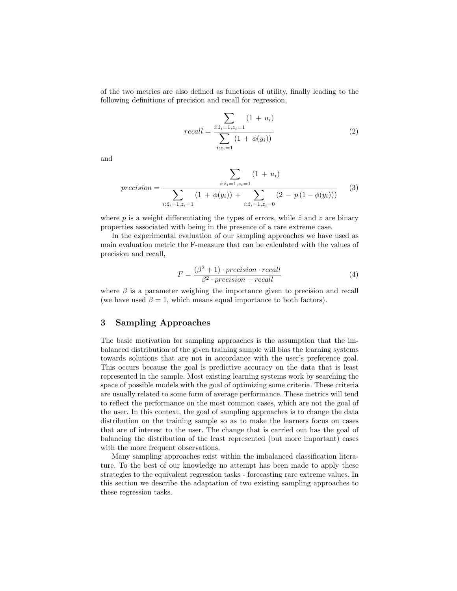of the two metrics are also defined as functions of utility, finally leading to the following definitions of precision and recall for regression,

$$
recall = \frac{\sum_{i:\hat{z}_i=1, z_i=1} (1 + u_i)}{\sum_{i: z_i=1} (1 + \phi(y_i))}
$$
(2)

and

$$
precision = \frac{\sum_{i:\hat{z}_i=1, z_i=1} (1 + u_i)}{\sum_{i:\hat{z}_i=1, z_i=1} (1 + \phi(y_i)) + \sum_{i:\hat{z}_i=1, z_i=0} (2 - p(1 - \phi(y_i)))}
$$
(3)

where  $p$  is a weight differentiating the types of errors, while  $\hat{z}$  and  $z$  are binary properties associated with being in the presence of a rare extreme case.

In the experimental evaluation of our sampling approaches we have used as main evaluation metric the F-measure that can be calculated with the values of precision and recall,

$$
F = \frac{(\beta^2 + 1) \cdot precision \cdot recall}{\beta^2 \cdot precision + recall}
$$
 (4)

where  $\beta$  is a parameter weighing the importance given to precision and recall (we have used  $\beta = 1$ , which means equal importance to both factors).

## 3 Sampling Approaches

The basic motivation for sampling approaches is the assumption that the imbalanced distribution of the given training sample will bias the learning systems towards solutions that are not in accordance with the user's preference goal. This occurs because the goal is predictive accuracy on the data that is least represented in the sample. Most existing learning systems work by searching the space of possible models with the goal of optimizing some criteria. These criteria are usually related to some form of average performance. These metrics will tend to reflect the performance on the most common cases, which are not the goal of the user. In this context, the goal of sampling approaches is to change the data distribution on the training sample so as to make the learners focus on cases that are of interest to the user. The change that is carried out has the goal of balancing the distribution of the least represented (but more important) cases with the more frequent observations.

Many sampling approaches exist within the imbalanced classification literature. To the best of our knowledge no attempt has been made to apply these strategies to the equivalent regression tasks - forecasting rare extreme values. In this section we describe the adaptation of two existing sampling approaches to these regression tasks.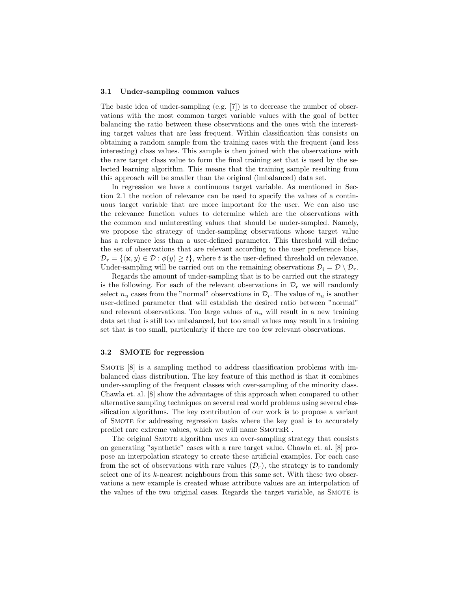#### 3.1 Under-sampling common values

The basic idea of under-sampling (e.g. [7]) is to decrease the number of observations with the most common target variable values with the goal of better balancing the ratio between these observations and the ones with the interesting target values that are less frequent. Within classification this consists on obtaining a random sample from the training cases with the frequent (and less interesting) class values. This sample is then joined with the observations with the rare target class value to form the final training set that is used by the selected learning algorithm. This means that the training sample resulting from this approach will be smaller than the original (imbalanced) data set.

In regression we have a continuous target variable. As mentioned in Section 2.1 the notion of relevance can be used to specify the values of a continuous target variable that are more important for the user. We can also use the relevance function values to determine which are the observations with the common and uninteresting values that should be under-sampled. Namely, we propose the strategy of under-sampling observations whose target value has a relevance less than a user-defined parameter. This threshold will define the set of observations that are relevant according to the user preference bias,  $\mathcal{D}_r = {\mathbf{x}, y \in \mathcal{D} : \phi(y) \geq t}$ , where t is the user-defined threshold on relevance. Under-sampling will be carried out on the remaining observations  $\mathcal{D}_i = \mathcal{D} \setminus \mathcal{D}_r$ .

Regards the amount of under-sampling that is to be carried out the strategy is the following. For each of the relevant observations in  $\mathcal{D}_r$  we will randomly select  $n_u$  cases from the "normal" observations in  $\mathcal{D}_i$ . The value of  $n_u$  is another user-defined parameter that will establish the desired ratio between "normal" and relevant observations. Too large values of  $n<sub>u</sub>$  will result in a new training data set that is still too unbalanced, but too small values may result in a training set that is too small, particularly if there are too few relevant observations.

#### 3.2 SMOTE for regression

Smote [8] is a sampling method to address classification problems with imbalanced class distribution. The key feature of this method is that it combines under-sampling of the frequent classes with over-sampling of the minority class. Chawla et. al. [8] show the advantages of this approach when compared to other alternative sampling techniques on several real world problems using several classification algorithms. The key contribution of our work is to propose a variant of Smote for addressing regression tasks where the key goal is to accurately predict rare extreme values, which we will name SMOTER .

The original Smote algorithm uses an over-sampling strategy that consists on generating "synthetic" cases with a rare target value. Chawla et. al. [8] propose an interpolation strategy to create these artificial examples. For each case from the set of observations with rare values  $(\mathcal{D}_r)$ , the strategy is to randomly select one of its k-nearest neighbours from this same set. With these two observations a new example is created whose attribute values are an interpolation of the values of the two original cases. Regards the target variable, as Smote is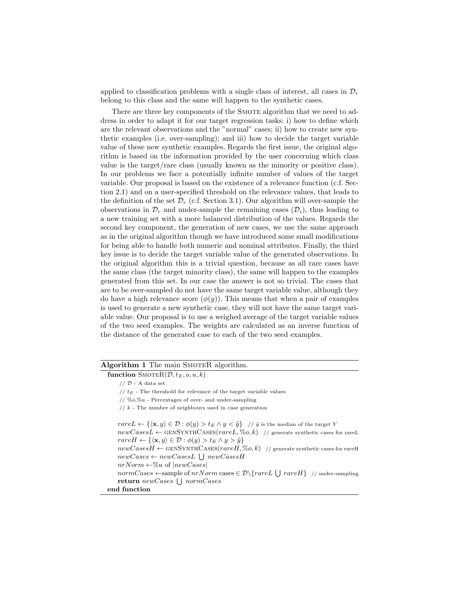applied to classification problems with a single class of interest, all cases in  $\mathcal{D}_r$ belong to this class and the same will happen to the synthetic cases.

There are three key components of the SMOTE algorithm that we need to address in order to adapt it for our target regression tasks: i) how to define which are the relevant observations and the "normal" cases; ii) how to create new synthetic examples (i.e. over-sampling); and iii) how to decide the target variable value of these new synthetic examples. Regards the first issue, the original algorithm is based on the information provided by the user concerning which class value is the target/rare class (usually known as the minority or positive class). In our problems we face a potentially infinite number of values of the target variable. Our proposal is based on the existence of a relevance function (c.f. Section 2.1) and on a user-specified threshold on the relevance values, that leads to the definition of the set  $\mathcal{D}_r$  (c.f. Section 3.1). Our algorithm will over-sample the observations in  $\mathcal{D}_r$  and under-sample the remaining cases  $(\mathcal{D}_i)$ , thus leading to a new training set with a more balanced distribution of the values. Regards the second key component, the generation of new cases, we use the same approach as in the original algorithm though we have introduced some small modifications for being able to handle both numeric and nominal attributes. Finally, the third key issue is to decide the target variable value of the generated observations. In the original algorithm this is a trivial question, because as all rare cases have the same class (the target minority class), the same will happen to the examples generated from this set. In our case the answer is not so trivial. The cases that are to be over-sampled do not have the same target variable value, although they do have a high relevance score  $(\phi(y))$ . This means that when a pair of examples is used to generate a new synthetic case, they will not have the same target variable value. Our proposal is to use a weighed average of the target variable values of the two seed examples. The weights are calculated as an inverse function of the distance of the generated case to each of the two seed examples.

|  |                                              | Algorithm 1 The main SMOTER algorithm. |
|--|----------------------------------------------|----------------------------------------|
|  | $\alpha$ is $\alpha$ in $\alpha$ if $\alpha$ |                                        |

function  $S\text{MOTER}(\mathcal{D}, t_E, o, u, k)$ // $\mathcal D$  - A data set  $// t_E$  - The threshold for relevance of the target variable values  $// %o, %u - Percentages of over- and under-sampling$  $// k$  - The number of neighbours used in case generation  $rare L \leftarrow {\{\mathbf{x}, y\}} \in \mathcal{D} : \phi(y) > t_E \land y < \tilde{y} \}$  //  $\tilde{y}$  is the median of the target Y  $newCasesL \leftarrow \texttt{GENSYNTHCASES}(rareL, \%o, k) \quad \textit{// generate synthetic cases for rareL}$  $rareH \leftarrow {\{\mathbf{x}, y\}} \in \mathcal{D} : \phi(y) > t_E \wedge y > \tilde{y}$  $newCasesH \leftarrow \text{GENSYNTHCASES}(rareH, \%o, k)$  // generate synthetic cases for rareH  $newCases \leftarrow newCasesL \cup newCasesH$  $nrNorm \leftarrow \%$ u of  $|newCases|$  $normCases \leftarrow$ sample of  $nrNorm$  cases  $\in \mathcal{D}\setminus \{rareL \bigcup rareH\}$  // under-sampling return  $newCases$   $\bigcup$  normCases end function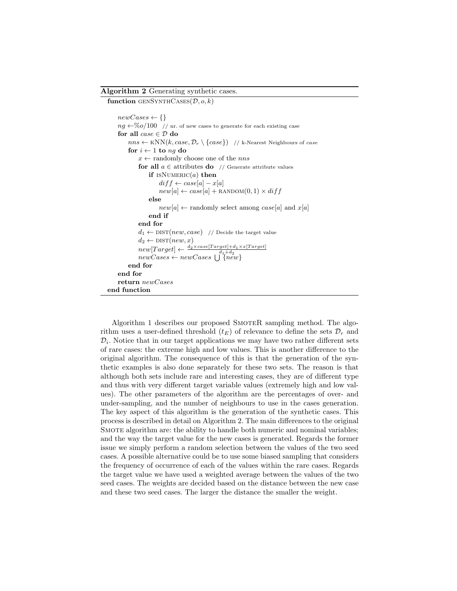#### Algorithm 2 Generating synthetic cases.

```
function GENSYNTHCASES(D, o, k)newCases \leftarrow \{\}ng \leftarrow \% 0/100 // nr. of new cases to generate for each existing case
    for all case \in \mathcal{D} do
        nns ← \text{KNN}(k, case, \mathcal{D}_r \setminus \{case\}) // k-Nearest Neighbours of case
        for i \leftarrow 1 to ng do
             x \leftarrow randomly choose one of the nns
             for all a \in attributes do // Generate attribute values
                 if \text{ISNUMERIC}(a) then
                      diff \leftarrow case[a] - x[a]new[a] \leftarrow case[a] + \text{RANDOM}(0, 1) \times diffelse
                      new[a] \leftarrow randomly select among case[a] and x[a]end if
             end for
             d_1 \leftarrow \text{DIST}(new, case) // Decide the target value
             d_2 \leftarrow \text{DIST}(new, x)new[Target] \leftarrow \frac{d_2 \times case[Target] + d_1 \times x[Target]}{d_1 + d_2}newClasses \leftarrow new Cases \cup \{newS\}end for
    end for
    return newCases
end function
```
Algorithm 1 describes our proposed SMOTER sampling method. The algorithm uses a user-defined threshold  $(t_E)$  of relevance to define the sets  $\mathcal{D}_r$  and  $\mathcal{D}_i$ . Notice that in our target applications we may have two rather different sets of rare cases: the extreme high and low values. This is another difference to the original algorithm. The consequence of this is that the generation of the synthetic examples is also done separately for these two sets. The reason is that although both sets include rare and interesting cases, they are of different type and thus with very different target variable values (extremely high and low values). The other parameters of the algorithm are the percentages of over- and under-sampling, and the number of neighbours to use in the cases generation. The key aspect of this algorithm is the generation of the synthetic cases. This process is described in detail on Algorithm 2. The main differences to the original SMOTE algorithm are: the ability to handle both numeric and nominal variables; and the way the target value for the new cases is generated. Regards the former issue we simply perform a random selection between the values of the two seed cases. A possible alternative could be to use some biased sampling that considers the frequency of occurrence of each of the values within the rare cases. Regards the target value we have used a weighted average between the values of the two seed cases. The weights are decided based on the distance between the new case and these two seed cases. The larger the distance the smaller the weight.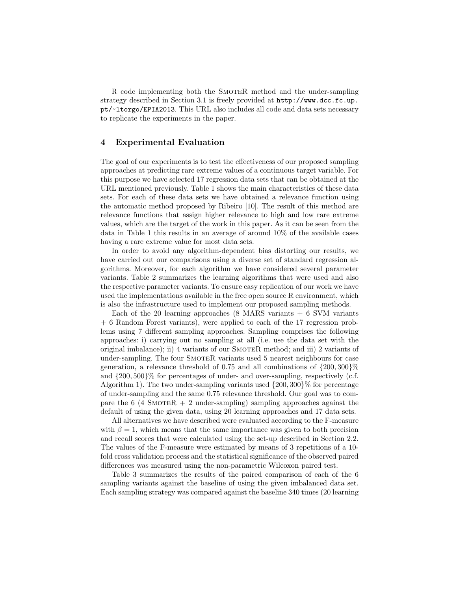R code implementing both the SmoteR method and the under-sampling strategy described in Section 3.1 is freely provided at http://www.dcc.fc.up. pt/~ltorgo/EPIA2013. This URL also includes all code and data sets necessary to replicate the experiments in the paper.

## 4 Experimental Evaluation

The goal of our experiments is to test the effectiveness of our proposed sampling approaches at predicting rare extreme values of a continuous target variable. For this purpose we have selected 17 regression data sets that can be obtained at the URL mentioned previously. Table 1 shows the main characteristics of these data sets. For each of these data sets we have obtained a relevance function using the automatic method proposed by Ribeiro [10]. The result of this method are relevance functions that assign higher relevance to high and low rare extreme values, which are the target of the work in this paper. As it can be seen from the data in Table 1 this results in an average of around 10% of the available cases having a rare extreme value for most data sets.

In order to avoid any algorithm-dependent bias distorting our results, we have carried out our comparisons using a diverse set of standard regression algorithms. Moreover, for each algorithm we have considered several parameter variants. Table 2 summarizes the learning algorithms that were used and also the respective parameter variants. To ensure easy replication of our work we have used the implementations available in the free open source R environment, which is also the infrastructure used to implement our proposed sampling methods.

Each of the 20 learning approaches  $(8 \text{ MARS variants} + 6 \text{ SVM variants})$ + 6 Random Forest variants), were applied to each of the 17 regression problems using 7 different sampling approaches. Sampling comprises the following approaches: i) carrying out no sampling at all (i.e. use the data set with the original imbalance); ii) 4 variants of our SMOTER method; and iii) 2 variants of under-sampling. The four SmoteR variants used 5 nearest neighbours for case generation, a relevance threshold of 0.75 and all combinations of {200, 300}% and  $\{200, 500\}\%$  for percentages of under- and over-sampling, respectively (c.f. Algorithm 1). The two under-sampling variants used  $\{200, 300\}\%$  for percentage of under-sampling and the same 0.75 relevance threshold. Our goal was to compare the 6 (4 SMOTER  $+$  2 under-sampling) sampling approaches against the default of using the given data, using 20 learning approaches and 17 data sets.

All alternatives we have described were evaluated according to the F-measure with  $\beta = 1$ , which means that the same importance was given to both precision and recall scores that were calculated using the set-up described in Section 2.2. The values of the F-measure were estimated by means of 3 repetitions of a 10 fold cross validation process and the statistical significance of the observed paired differences was measured using the non-parametric Wilcoxon paired test.

Table 3 summarizes the results of the paired comparison of each of the 6 sampling variants against the baseline of using the given imbalanced data set. Each sampling strategy was compared against the baseline 340 times (20 learning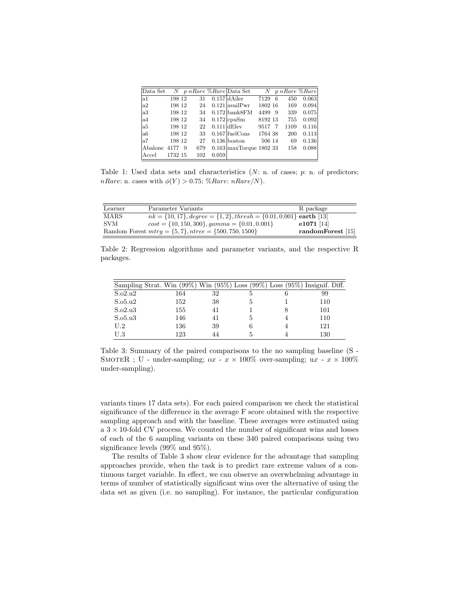| Data Set       | N       |     |       | <i>p</i> nRare %Rare Data Set | $\boldsymbol{N}$ |    |      | $p \; nR$ are %Rare |
|----------------|---------|-----|-------|-------------------------------|------------------|----|------|---------------------|
| a1             | 198 12  | 31  |       | $0.157$ dAiler                | 7129             | 6  | 450  | 0.063               |
| a2             | 198 12  | 24  |       | $0.121$ availPwr              | 1802 16          |    | 169  | 0.094               |
| a3             | 198 12  | 34  |       | $0.172$ bank $8FM$            | 4499             | -9 | 339  | 0.075               |
| a4             | 198 12  | 34  |       | $0.172$ cpuSm                 | 8192 13          |    | 755  | 0.092               |
| a <sub>5</sub> | 198 12  | 22  |       | $0.111$ dElev                 | 9517 7           |    | 1109 | 0.116               |
| a <sub>6</sub> | 198 12  | 33  |       | $0.167$ fuelCons              | 1764 38          |    | 200  | 0.113               |
| a7             | 198 12  | 27  |       | $0.136$ boston                | 506 14           |    | 69   | 0.136               |
| Abalone        | 4177 9  | 679 |       | $0.163$ maxTorque 1802 33     |                  |    | 158  | 0.088               |
| Accel          | 1732 15 | 102 | 0.059 |                               |                  |    |      |                     |

Table 1: Used data sets and characteristics  $(N: n.$  of cases;  $p: n.$  of predictors; *nRare*: n. cases with  $\phi(Y) > 0.75$ ; %Rare: *nRare*/*N*).

| Learner     | Parameter Variants                                                           | R package         |
|-------------|------------------------------------------------------------------------------|-------------------|
| <b>MARS</b> | $nk = \{10, 17\}, degree = \{1, 2\}, threshold = \{0.01, 0.001\}$ earth [13] |                   |
| <b>SVM</b>  | $cost = \{10, 150, 300\}, gamma = \{0.01, 0.001\}$                           | $e1071$ [14]      |
|             | Random Forest $mtry = \{5, 7\}$ , $ntree = \{500, 750, 1500\}$               | randomForest [15] |

Table 2: Regression algorithms and parameter variants, and the respective R packages.

|         | Sampling Strat. Win $(99\%)$ Win $(95\%)$ Loss $(99\%)$ Loss $(95\%)$ Insignif. Diff. |    |              |     |
|---------|---------------------------------------------------------------------------------------|----|--------------|-----|
| S.02.u2 | 164                                                                                   | 32 | Ð            | 99  |
| S.05.u2 | 152                                                                                   | 38 | 5            | 110 |
| S.02.u3 | 155                                                                                   | 41 |              | 101 |
| S.05.u3 | 146                                                                                   | 41 | <sub>5</sub> | 110 |
| U.2     | 136                                                                                   | 39 | h            | 121 |
| U.3     | 123                                                                                   |    | .,           | 130 |

Table 3: Summary of the paired comparisons to the no sampling baseline (S - SMOTER ; U - under-sampling; ox -  $x \times 100\%$  over-sampling; ux -  $x \times 100\%$ under-sampling).

variants times 17 data sets). For each paired comparison we check the statistical significance of the difference in the average F score obtained with the respective sampling approach and with the baseline. These averages were estimated using  $a \ 3 \times 10$ -fold CV process. We counted the number of significant wins and losses of each of the 6 sampling variants on these 340 paired comparisons using two significance levels (99% and 95%).

The results of Table 3 show clear evidence for the advantage that sampling approaches provide, when the task is to predict rare extreme values of a continuous target variable. In effect, we can observe an overwhelming advantage in terms of number of statistically significant wins over the alternative of using the data set as given (i.e. no sampling). For instance, the particular configuration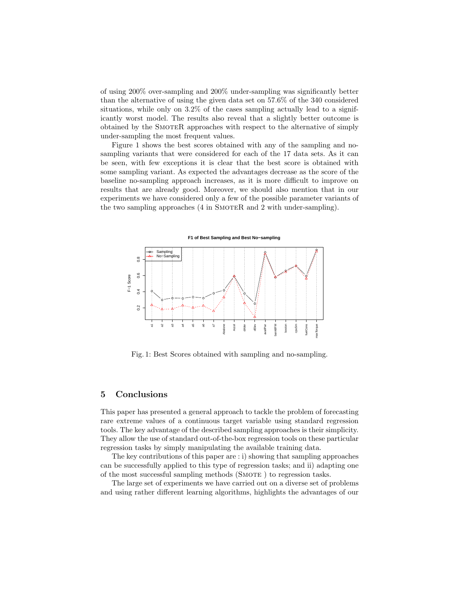of using 200% over-sampling and 200% under-sampling was significantly better than the alternative of using the given data set on 57.6% of the 340 considered situations, while only on 3.2% of the cases sampling actually lead to a significantly worst model. The results also reveal that a slightly better outcome is obtained by the SmoteR approaches with respect to the alternative of simply under-sampling the most frequent values.

Figure 1 shows the best scores obtained with any of the sampling and nosampling variants that were considered for each of the 17 data sets. As it can be seen, with few exceptions it is clear that the best score is obtained with some sampling variant. As expected the advantages decrease as the score of the baseline no-sampling approach increases, as it is more difficult to improve on results that are already good. Moreover, we should also mention that in our experiments we have considered only a few of the possible parameter variants of the two sampling approaches (4 in SMOTER and 2 with under-sampling).



Fig. 1: Best Scores obtained with sampling and no-sampling.

## 5 Conclusions

This paper has presented a general approach to tackle the problem of forecasting rare extreme values of a continuous target variable using standard regression tools. The key advantage of the described sampling approaches is their simplicity. They allow the use of standard out-of-the-box regression tools on these particular regression tasks by simply manipulating the available training data.

The key contributions of this paper are : i) showing that sampling approaches can be successfully applied to this type of regression tasks; and ii) adapting one of the most successful sampling methods (Smote ) to regression tasks.

The large set of experiments we have carried out on a diverse set of problems and using rather different learning algorithms, highlights the advantages of our